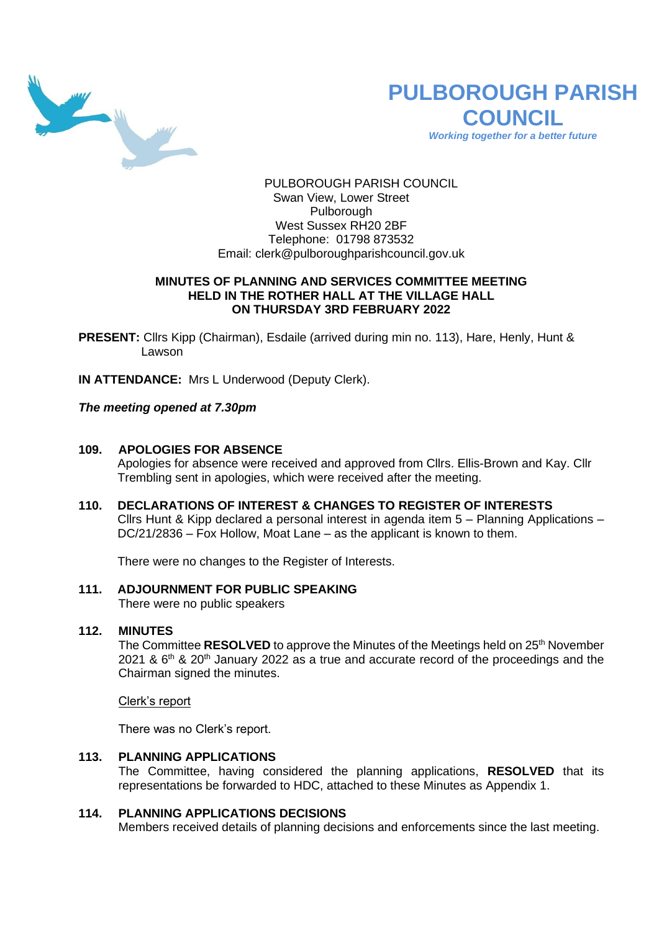

# **PULBOROUGH PARISH COUNCIL**

*Working together for a better future*

PULBOROUGH PARISH COUNCIL Swan View, Lower Street Pulborough West Sussex RH20 2BF Telephone: 01798 873532 Email: [clerk@pulboroughparishcouncil.gov.uk](mailto:clerk@pulboroughparishcouncil.gov.uk)

### **MINUTES OF PLANNING AND SERVICES COMMITTEE MEETING HELD IN THE ROTHER HALL AT THE VILLAGE HALL ON THURSDAY 3RD FEBRUARY 2022**

**PRESENT:** Cllrs Kipp (Chairman), Esdaile (arrived during min no. 113), Hare, Henly, Hunt & Lawson

**IN ATTENDANCE:** Mrs L Underwood (Deputy Clerk).

*The meeting opened at 7.30pm* 

#### **109. APOLOGIES FOR ABSENCE**

Apologies for absence were received and approved from Cllrs. Ellis-Brown and Kay. Cllr Trembling sent in apologies, which were received after the meeting.

# **110. DECLARATIONS OF INTEREST & CHANGES TO REGISTER OF INTERESTS**

Cllrs Hunt & Kipp declared a personal interest in agenda item 5 – Planning Applications – DC/21/2836 – Fox Hollow, Moat Lane – as the applicant is known to them.

There were no changes to the Register of Interests.

# **111. ADJOURNMENT FOR PUBLIC SPEAKING**

There were no public speakers

#### **112. MINUTES**

The Committee **RESOLVED** to approve the Minutes of the Meetings held on 25<sup>th</sup> November 2021 &  $6<sup>th</sup>$  & 20<sup>th</sup> January 2022 as a true and accurate record of the proceedings and the Chairman signed the minutes.

Clerk's report

There was no Clerk's report.

# **113. PLANNING APPLICATIONS**

The Committee, having considered the planning applications, **RESOLVED** that its representations be forwarded to HDC, attached to these Minutes as Appendix 1.

#### **114. PLANNING APPLICATIONS DECISIONS**

Members received details of planning decisions and enforcements since the last meeting.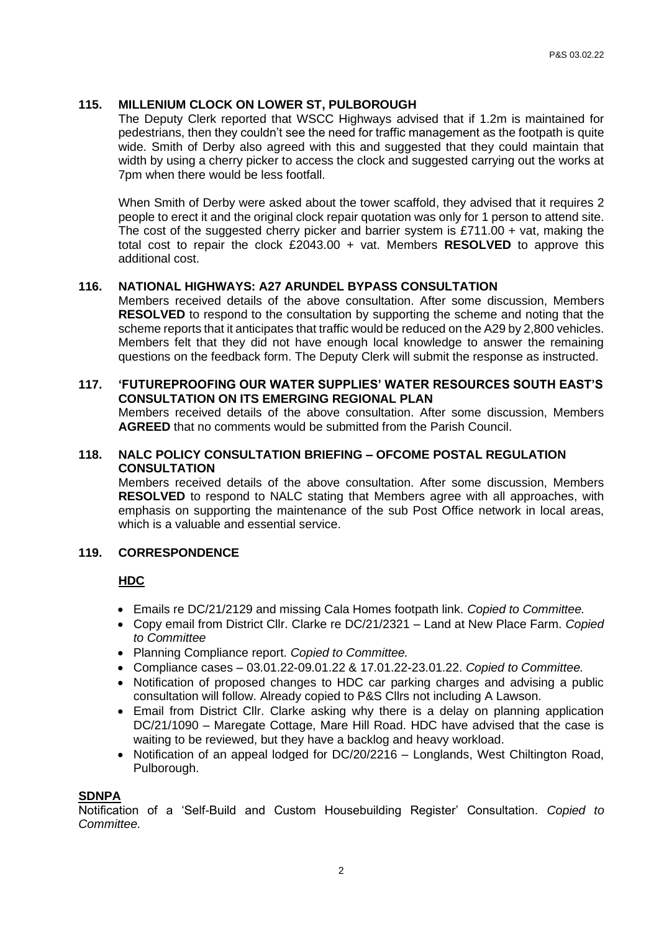# **115. MILLENIUM CLOCK ON LOWER ST, PULBOROUGH**

The Deputy Clerk reported that WSCC Highways advised that if 1.2m is maintained for pedestrians, then they couldn't see the need for traffic management as the footpath is quite wide. Smith of Derby also agreed with this and suggested that they could maintain that width by using a cherry picker to access the clock and suggested carrying out the works at 7pm when there would be less footfall.

When Smith of Derby were asked about the tower scaffold, they advised that it requires 2 people to erect it and the original clock repair quotation was only for 1 person to attend site. The cost of the suggested cherry picker and barrier system is  $£711.00 + vat$ , making the total cost to repair the clock £2043.00 + vat. Members **RESOLVED** to approve this additional cost.

# **116. NATIONAL HIGHWAYS: A27 ARUNDEL BYPASS CONSULTATION**

Members received details of the above consultation. After some discussion, Members **RESOLVED** to respond to the consultation by supporting the scheme and noting that the scheme reports that it anticipates that traffic would be reduced on the A29 by 2,800 vehicles. Members felt that they did not have enough local knowledge to answer the remaining questions on the feedback form. The Deputy Clerk will submit the response as instructed.

# **117. 'FUTUREPROOFING OUR WATER SUPPLIES' WATER RESOURCES SOUTH EAST'S CONSULTATION ON ITS EMERGING REGIONAL PLAN**

Members received details of the above consultation. After some discussion, Members **AGREED** that no comments would be submitted from the Parish Council.

#### **118. NALC POLICY CONSULTATION BRIEFING – OFCOME POSTAL REGULATION CONSULTATION**

Members received details of the above consultation. After some discussion, Members **RESOLVED** to respond to NALC stating that Members agree with all approaches, with emphasis on supporting the maintenance of the sub Post Office network in local areas, which is a valuable and essential service.

#### **119. CORRESPONDENCE**

#### **HDC**

- Emails re DC/21/2129 and missing Cala Homes footpath link. *Copied to Committee.*
- Copy email from District Cllr. Clarke re DC/21/2321 Land at New Place Farm. *Copied to Committee*
- Planning Compliance report. *Copied to Committee.*
- Compliance cases 03.01.22-09.01.22 & 17.01.22-23.01.22. *Copied to Committee.*
- Notification of proposed changes to HDC car parking charges and advising a public consultation will follow. Already copied to P&S Cllrs not including A Lawson.
- Email from District Cllr. Clarke asking why there is a delay on planning application DC/21/1090 – Maregate Cottage, Mare Hill Road. HDC have advised that the case is waiting to be reviewed, but they have a backlog and heavy workload.
- Notification of an appeal lodged for DC/20/2216 Longlands, West Chiltington Road, Pulborough.

#### **SDNPA**

Notification of a 'Self-Build and Custom Housebuilding Register' Consultation. *Copied to Committee.*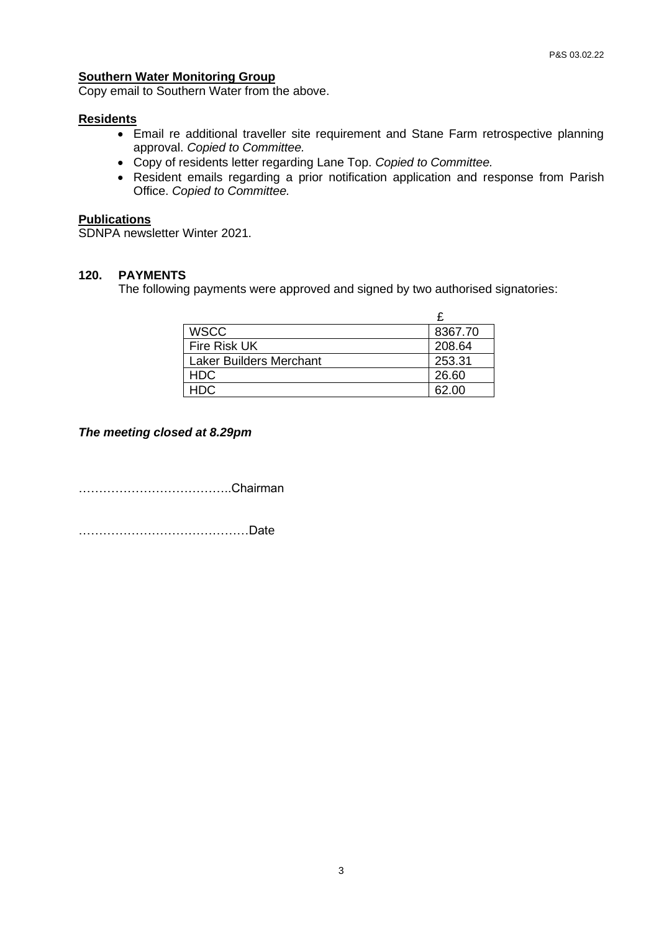# **Southern Water Monitoring Group**

Copy email to Southern Water from the above.

#### **Residents**

- Email re additional traveller site requirement and Stane Farm retrospective planning approval. *Copied to Committee.*
- Copy of residents letter regarding Lane Top. *Copied to Committee.*
- Resident emails regarding a prior notification application and response from Parish Office. *Copied to Committee.*

#### **Publications**

SDNPA newsletter Winter 2021.

# **120. PAYMENTS**

The following payments were approved and signed by two authorised signatories:

| <b>WSCC</b>                    | 8367.70 |
|--------------------------------|---------|
| Fire Risk UK                   | 208.64  |
| <b>Laker Builders Merchant</b> | 253.31  |
| <b>HDC</b>                     | 26.60   |
| HDC.                           | 62.00   |

# *The meeting closed at 8.29pm*

………………………………..Chairman

……………………………………Date